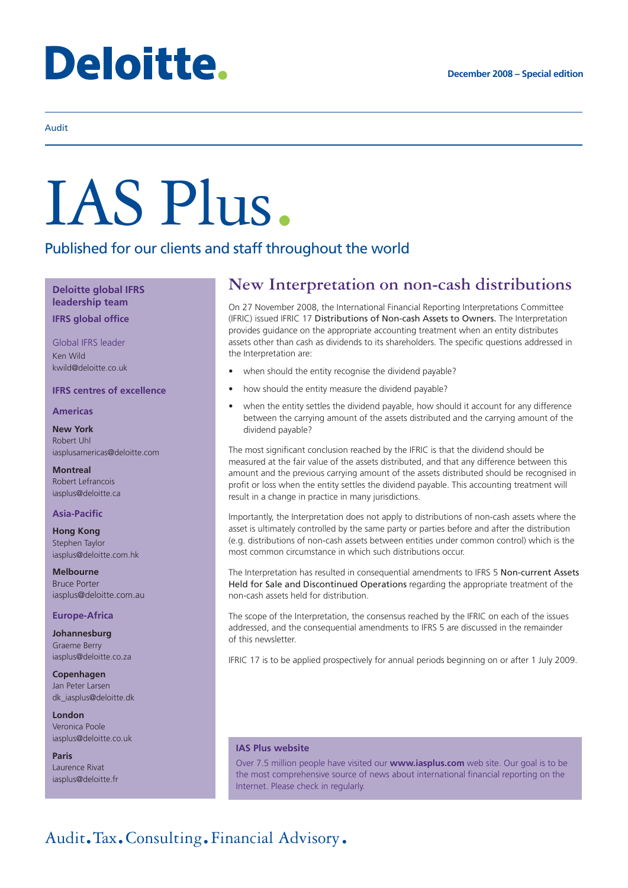# **Deloitte.**

# Audit

# IAS Plus.

# Published for our clients and staff throughout the world

**Deloitte global IFRS leadership team IFRS global office**

Global IFRS leader Ken Wild kwild@deloitte.co.uk

# **IFRS centres of excellence**

# **Americas**

**New York** Robert Uhl iasplusamericas@deloitte.com

**Montreal** Robert Lefrancois iasplus@deloitte.ca

# **Asia-Pacific**

**Hong Kong** Stephen Taylor iasplus@deloitte.com.hk

**Melbourne** Bruce Porter iasplus@deloitte.com.au

# **Europe-Africa**

**Johannesburg** Graeme Berry iasplus@deloitte.co.za

**Copenhagen** Jan Peter Larsen dk\_iasplus@deloitte.dk

**London** Veronica Poole iasplus@deloitte.co.uk

**Paris** Laurence Rivat iasplus@deloitte.fr

# **New Interpretation on non-cash distributions**

On 27 November 2008, the International Financial Reporting Interpretations Committee (IFRIC) issued IFRIC 17 Distributions of Non-cash Assets to Owners. The Interpretation provides guidance on the appropriate accounting treatment when an entity distributes assets other than cash as dividends to its shareholders. The specific questions addressed in the Interpretation are:

- when should the entity recognise the dividend payable?
- how should the entity measure the dividend payable?
- when the entity settles the dividend payable, how should it account for any difference between the carrying amount of the assets distributed and the carrying amount of the dividend payable?

The most significant conclusion reached by the IFRIC is that the dividend should be measured at the fair value of the assets distributed, and that any difference between this amount and the previous carrying amount of the assets distributed should be recognised in profit or loss when the entity settles the dividend payable. This accounting treatment will result in a change in practice in many jurisdictions.

Importantly, the Interpretation does not apply to distributions of non-cash assets where the asset is ultimately controlled by the same party or parties before and after the distribution (e.g. distributions of non-cash assets between entities under common control) which is the most common circumstance in which such distributions occur.

The Interpretation has resulted in consequential amendments to IFRS 5 Non-current Assets Held for Sale and Discontinued Operations regarding the appropriate treatment of the non-cash assets held for distribution.

The scope of the Interpretation, the consensus reached by the IFRIC on each of the issues addressed, and the consequential amendments to IFRS 5 are discussed in the remainder of this newsletter.

IFRIC 17 is to be applied prospectively for annual periods beginning on or after 1 July 2009.

# **IAS Plus website**

Over 7.5 million people have visited our **www.iasplus.com** web site. Our goal is to be the most comprehensive source of news about international financial reporting on the Internet. Please check in regularly.

# Audit.Tax.Consulting.Financial Advisory.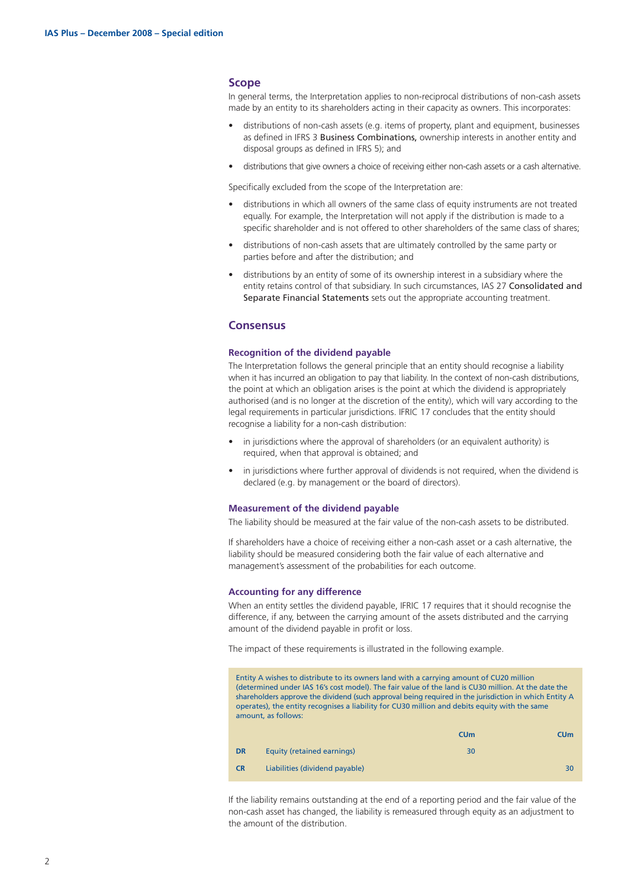# **Scope**

In general terms, the Interpretation applies to non-reciprocal distributions of non-cash assets made by an entity to its shareholders acting in their capacity as owners. This incorporates:

- distributions of non-cash assets (e.g. items of property, plant and equipment, businesses as defined in IFRS 3 Business Combinations, ownership interests in another entity and disposal groups as defined in IFRS 5); and
- distributions that give owners a choice of receiving either non-cash assets or a cash alternative.

Specifically excluded from the scope of the Interpretation are:

- distributions in which all owners of the same class of equity instruments are not treated equally. For example, the Interpretation will not apply if the distribution is made to a specific shareholder and is not offered to other shareholders of the same class of shares;
- distributions of non-cash assets that are ultimately controlled by the same party or parties before and after the distribution; and
- distributions by an entity of some of its ownership interest in a subsidiary where the entity retains control of that subsidiary. In such circumstances, IAS 27 Consolidated and Separate Financial Statements sets out the appropriate accounting treatment.

# **Consensus**

# **Recognition of the dividend payable**

The Interpretation follows the general principle that an entity should recognise a liability when it has incurred an obligation to pay that liability. In the context of non-cash distributions, the point at which an obligation arises is the point at which the dividend is appropriately authorised (and is no longer at the discretion of the entity), which will vary according to the legal requirements in particular jurisdictions. IFRIC 17 concludes that the entity should recognise a liability for a non-cash distribution:

- in jurisdictions where the approval of shareholders (or an equivalent authority) is required, when that approval is obtained; and
- in jurisdictions where further approval of dividends is not required, when the dividend is declared (e.g. by management or the board of directors).

### **Measurement of the dividend payable**

The liability should be measured at the fair value of the non-cash assets to be distributed.

If shareholders have a choice of receiving either a non-cash asset or a cash alternative, the liability should be measured considering both the fair value of each alternative and management's assessment of the probabilities for each outcome.

### **Accounting for any difference**

When an entity settles the dividend payable, IFRIC 17 requires that it should recognise the difference, if any, between the carrying amount of the assets distributed and the carrying amount of the dividend payable in profit or loss.

The impact of these requirements is illustrated in the following example.

Entity A wishes to distribute to its owners land with a carrying amount of CU20 million (determined under IAS 16's cost model). The fair value of the land is CU30 million. At the date the shareholders approve the dividend (such approval being required in the jurisdiction in which Entity A operates), the entity recognises a liability for CU30 million and debits equity with the same amount, as follows:

|           |                                | CUm | <b>CUm</b> |
|-----------|--------------------------------|-----|------------|
| <b>DR</b> | Equity (retained earnings)     | 30  |            |
| <b>CR</b> | Liabilities (dividend payable) |     | 30         |

If the liability remains outstanding at the end of a reporting period and the fair value of the non-cash asset has changed, the liability is remeasured through equity as an adjustment to the amount of the distribution.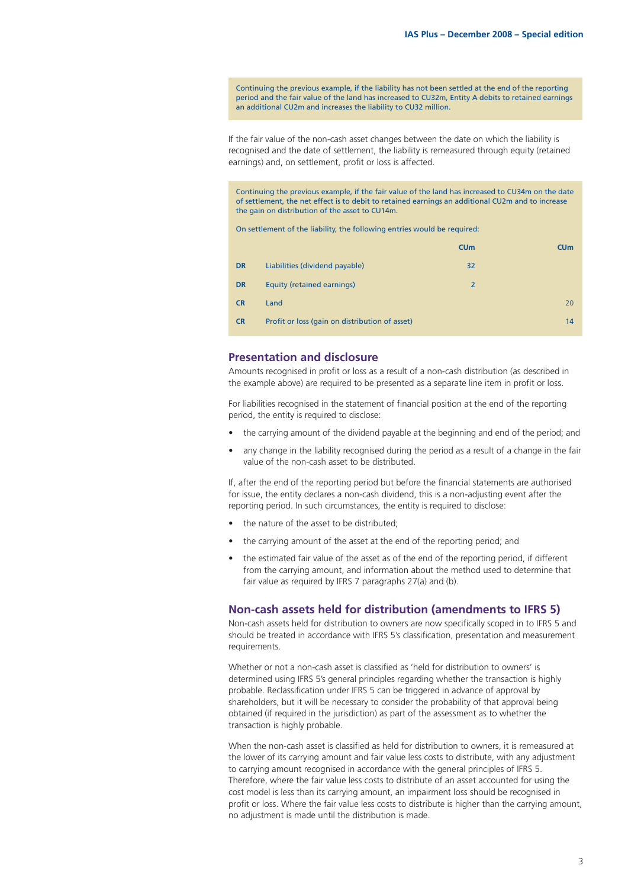Continuing the previous example, if the liability has not been settled at the end of the reporting period and the fair value of the land has increased to CU32m, Entity A debits to retained earnings an additional CU2m and increases the liability to CU32 million.

If the fair value of the non-cash asset changes between the date on which the liability is recognised and the date of settlement, the liability is remeasured through equity (retained earnings) and, on settlement, profit or loss is affected.

Continuing the previous example, if the fair value of the land has increased to CU34m on the date of settlement, the net effect is to debit to retained earnings an additional CU2m and to increase the gain on distribution of the asset to CU14m.

On settlement of the liability, the following entries would be required:

|           |                                                | <b>CUm</b>     | CUm |
|-----------|------------------------------------------------|----------------|-----|
| <b>DR</b> | Liabilities (dividend payable)                 | 32             |     |
| <b>DR</b> | <b>Equity (retained earnings)</b>              | $\overline{2}$ |     |
| <b>CR</b> | Land                                           |                | 20  |
| <b>CR</b> | Profit or loss (gain on distribution of asset) |                | 14  |

# **Presentation and disclosure**

Amounts recognised in profit or loss as a result of a non-cash distribution (as described in the example above) are required to be presented as a separate line item in profit or loss.

For liabilities recognised in the statement of financial position at the end of the reporting period, the entity is required to disclose:

- the carrying amount of the dividend payable at the beginning and end of the period: and
- any change in the liability recognised during the period as a result of a change in the fair value of the non-cash asset to be distributed.

If, after the end of the reporting period but before the financial statements are authorised for issue, the entity declares a non-cash dividend, this is a non-adjusting event after the reporting period. In such circumstances, the entity is required to disclose:

- the nature of the asset to be distributed;
- the carrying amount of the asset at the end of the reporting period; and
- the estimated fair value of the asset as of the end of the reporting period, if different from the carrying amount, and information about the method used to determine that fair value as required by IFRS 7 paragraphs 27(a) and (b).

### **Non-cash assets held for distribution (amendments to IFRS 5)**

Non-cash assets held for distribution to owners are now specifically scoped in to IFRS 5 and should be treated in accordance with IFRS 5's classification, presentation and measurement requirements.

Whether or not a non-cash asset is classified as 'held for distribution to owners' is determined using IFRS 5's general principles regarding whether the transaction is highly probable. Reclassification under IFRS 5 can be triggered in advance of approval by shareholders, but it will be necessary to consider the probability of that approval being obtained (if required in the jurisdiction) as part of the assessment as to whether the transaction is highly probable.

When the non-cash asset is classified as held for distribution to owners, it is remeasured at the lower of its carrying amount and fair value less costs to distribute, with any adjustment to carrying amount recognised in accordance with the general principles of IFRS 5. Therefore, where the fair value less costs to distribute of an asset accounted for using the cost model is less than its carrying amount, an impairment loss should be recognised in profit or loss. Where the fair value less costs to distribute is higher than the carrying amount, no adjustment is made until the distribution is made.